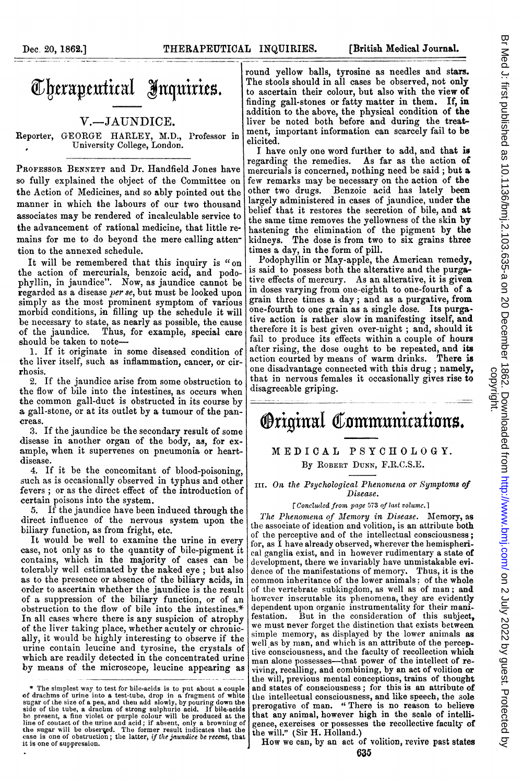## Cherapeutical Inquiries.

## V.-JAUNDICE.

Reporter, GEORGE HARLEY, M.D., Professor in <sup>0</sup> University College, London.

PRoFEssoR BENNETT and Dr. Handfield Jones have so fully explained the object of the Committee on the Action of Medicines, and so ably pointed out the manner in which the labours of our two thousand associates may be rendered of incalculable service to the advancement of rational medicine, that little remains for me to do beyond the mere calling attention to the annexed schedule.

It will be remembered that this inquiry is "on the action of mercurials, benzoic acid, and podophyllin, in jaundice". Now, as jaundice cannot be regarded as a disease per se, but must be looked upon simply as the most prominent symptom of various morbid conditions, in filling up the schedule it will be necessary to state, as nearly as possible, the cause of the jaundice. Thus, for example, special care should be taken to note-

1. If it originate in some diseased condition of the liver itself, such as inflammation, cancer, or cirrhosis.

2. If the jaundice arise from some obstruction to the flow of bile into the intestines, as occurs when the common gall-duct is obstructed in its course by a gall-stone, or at its outlet by a tumour of the pancreas.

:3. If the jaundice be the secondary result of some disease in another organ of the body, as, for example, when it supervenes on pneumonia or heartdisease.

4. If it be the concomitant of blood-poisoning, such as is occasionally observed in typhus and other fevers ; or as the direct effect of the introduction of certain poisons into the system.

5. If the jaundice have been induced through the direct influence of the nervous system upon the biliary function, as from fright, etc.

It would be well to examine the urine in every case, not only as to the quantity of bile-pigment it contains, which in the majority of cases can be tolerably well estimated by the naked eye ; but also as to the presence or absence of the biliary acids, in order to ascertain whether the jaundice is the result of a suppression of the biliary function, or of an obstruction to the flow of bile into the intestines.\* In all cases where there is any suspicion of atrophy of the liver taking place, whether acutely or chronically, it would be highly interesting to observe if the urine contain leucine and tyrosine, the crystals of which are readily detected in the concentrated urine by means of the microscope, leucine appearing as

round yellow balls, tyrosine as needles and stars. The stools should in all cases be observed, not only to ascertain their colour, but also with the view of finding gall-stones or fatty matter in them. If, in addition to the above, the physical condition of the liver be noted both before and during the treatment, important information can scarcely fail to be elicited.

I have only one word further to add, and that is<br>garding the remedies. As far as the action of regarding the remedies. mercurials is concerned, nothing need be said; but a few remarks may be necessary on the action of the Benzoic acid has lately been largely administered in cases of jaundice, under the belief that it restores the secretion of bile, and at the same time removes the yellowness of the skin by hastening the elimination of the pigment by the kidneys. The dose is from two to six grains three times a day, in the form of pill.

Podophyllin or May-apple, the American remedy, is said to possess both the alterative and the purgative effects of mercury. As an alterative, it is given in doses varying from one-eighth to one-fourth of a grain three times a day; and as a purgative, from one-fourth to one grain as a single dose. Its purgative action is rather slow in manifesting itself, and therefore it is best given over-night ; and, should it fail to produce its effects within a couple of hours after rising, the dose ought to be repeated, and its action courted by means of warm drinks. There is one disadvantage connected with this drug; namely, that in nervous females it occasionally gives rise to disagreeable griping.

## Original Communications.

## MEDICAL PSYCHOLOGY. By ROBERT DUNN, F.R.C.S.E.

III. On the Psychological Phenomena or Symptoms of Disease.

[Concluded from page 573 of last volume.]

The Phenomena of Memory in Disease. Memory, as the associate of ideation and volition, is an attribute both of the perceptive and of the intellectual consciousness; for, as I have already observed, wherever the hemispherical ganglia exist, and in however rudimentary a state of development, there we invariably have unmistakable evidence of the manifestations of memory. Thus, it is the common inberitance of the lower animals: of the whole of the vertebrate subkingdom, as well as of man; and however inscrutable its phenomena, they are evidently dependent upon organic instrumentality for their manifestation. But in the consideration of this subject. But in the consideration of this subject, we must never forget the distinction that exists between simple memory, as displayed by the lower animals as well as by man, and which is an attribute of the perceptive consciousness, and the faculty of recollection which man alone possesses-that power of the intellect of reviving, recalling, and combining, by an act of volition or the will, previous mental conceptions, trains of thought and states of consciousness; for this is an attribute of the intellectual consciousness, and like speech, the sole prerogative of man. " There is no reason to believe that any animal, however high in the scale of intelligence, exercises or possesses the recollective faculty of the will." (Sir H. Holland.)

How we can, by an act of volition, revive past states

<sup>\*</sup> The simplest way to test for bile-acids is to put about a couple of drachms of urine into a test-tube, drop in a fragment of white sign end can separate the size of a pea, and then add slowly, by pouring down the side o it is one of suppression.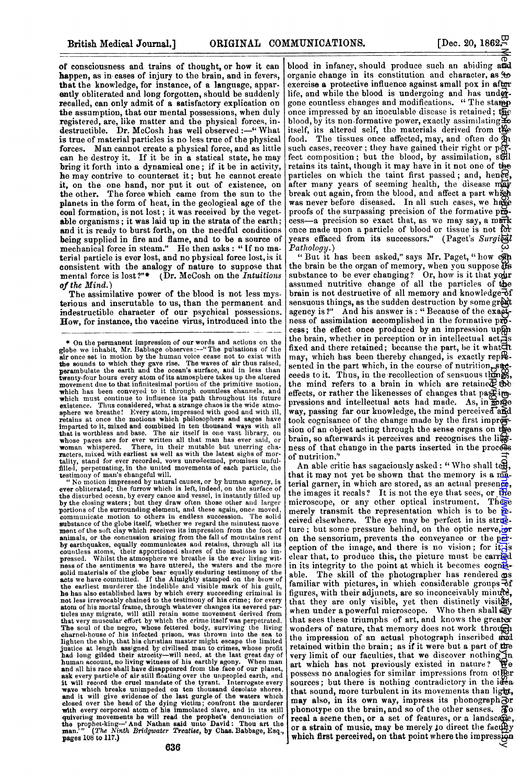of consciousness and trains of thought, or how it can happen, as in cases of injury to the brain, and in fevers, that the knowledge, for instance, of a language, apparently obliterated and long forgotten, should be suddenly recalled, can only admit of a satisfactory explication on the assumption, that our mental possessions, when duly registered, are, like matter and the physical forces, in. destructible. Dr. McCosh has well observed:-" What is true of material particles is no less true of the physical forces. Man cannot create a physical force, and as little can he destroy it. If it be in a statical state, he may bring it forth into a dynamical one; if it be in activity, he may contrive to counteract it; but he cannot create it, on the one hand, nor put it out of existence, on the other. The force which came from the sun to the planets in the form of heat, in the geologieal age of the coal formation, is not lost; it was received by the vegetable organisms; it was laid up in the strata of the earth; and it is ready to burst forth, on the needful conditions being supplied in fire and flame, and to be a source of mechanical force in steam." He then asks: " If no material particle is ever lost, and no pbysical force lost, is it consistent with the analogy of nature to suppose that mental force is lost?"\* (Dr. McCosh on the Intuitions) of the Mind.)

The assimilative power of the blood is not less mysterious and inscrutable to us, than the permanent and indestructible character of our psychical possessions. Row, for instance, the vaccine virus, introduced into the

" No motion impressed by natural causes, or by human agency, is ever obliterated; the furrow which is left, indeed, on the surface of the disturbed ocean, by every canoe and vessel, is instantly filled up by the closing waters; but they draw often those other and larger<br>portions of the surrounding element, and these again, once moved,<br>communicate motion to others in endless succession. The solid<br>substance of the globe itsel by earthquakes, equally communicates and retains, through all its<br>countless atoms, their apportioned shares of the motions so im-<br>pressed. Whilst the atmosphere we breathe is the ever living witmess of the sentiments we have uttered, the waters and the more solid materials of the globe bear equally enduring testimony of the sads we have committed. If the Almighty stamped on the bow of the earliest murderer the in atom of his mortal frame, through whatever changes its severed par-ticles may migrate, will still retain some movemenit dierived from that very muscular effort by which the crime itself was perpetrated. The soul of the negro, whose fettered body, surviving the living<br>charnel-house of his infected prison, was thrown into the sea to<br>lighten the ship, that his christian master might escape the limited justice at length assigned by civilised man to crimes, whose profit had long gilded their atrocity—will need, at the last great day of human account, no living witness of his earthly agony. When man and all his race shall have disappeared from the face of our planet, ask every particle of air still floating over the unpeopled earth, and it will record the and it will give evidence of the last gurgle of the waters which closed over the head of the dying victim, confront the murderer with every corporeal atom of his immolated slave, and in its still quivering movements he wi pages 108 to 117.)

blood in infancy, should produce such an abiding and organic change in its constitution and character, as  $\ddot{\mathbf{e}}$ exercise a protective influence against small pox in after life, and while the blood is undergoing and has undergone countless changes and modifications. " The stamp once impressed by an inoculable disease is retained; the blood, by its non-formative power, exactly assimilating  $\mathbf{\underline{4}}\mathbf{\underline{6}}$ itself, its altered self, the materials derived from the food. The tissues once affected, may, and often do  $\Phi$ such cases, recover; they have gained their right or  $pf$ fect composition; but the blood, by assimilation, stall retains its taint, though it may have in it not one of the particles on which the taint first passed; and, hence, after many years of seeming health, the disease may break out again, from the blood, and affect a part which was never before diseased. In all such cases, we have proofs of the surpassing precision of the formative  $p\ddot{\theta}$ . cess-a precision so exact that, as we may say, a mark once made upon a particle of blood or tissue is not for years effaced from its successors." (Paget's Surgical Pathology.)

"But it has been asked," says Mr. Paget, "how con the brain be the organ of memory, when you suppose USS<br>substance to be ever changing? Or, how is it that your assumed nutritive change of all the particles of the brain is not destructive of all memory and knowledge  $\bar{d}f$ sensuous things, as the sudden destruction by some great agency is?" And his answer is: "Because of the exactness of assimilation accomplished in the formative pro. cess; the effect once produced by an impression upon the brain, whether in perception or in intellectual  $act$ ; fixed and there retained; because the part, be it whathet may, which has been thereby changed, is exactly repremay, which has been success sented in the part which, in the course of nutrition, such ceeds to it. Thus, in the recollection of sensuous thing the mind refers to a brain in which are retained the effects, or rather the likenesses of changes that pastimpressions and intellectual acts had made. As, in  $\mathcal{S}$  me way, passing far our knowledge, the mind perceived and took cognisance of the change made by the first impression of an object acting through the sense organs on the brain, so afterwards it perceives and recognises the lileness of that change in the parts inserted in the process of nutrition."

An able critic has sagaciously asked: "Who shall tell, that it may not yet be shown that the memory is a material garner, in which are stored, as an actual presence, the images it recals? It is not the eye that sees, or the microscope, or any other optical instrument. These microscope, or any other optical instrument. merely transmit the representation which is to be  $\mathbf{\tilde{E}}$ . ceived elsewhere. The eye may be perfect in its structure; but some pressure behind, on the optic nerve, or on the sensorium, prevents the conveyance or the perception of the image, and there is no vision; for it is clear that, to produce this, the picture must be carried in its integrity to the point at which it becomes cognisable. The skill of the photographer has rendered as familiar with pictures, in which considerable groups  $\mathbf{\bar{e}}$ f figures, with their adjuncts, are so inconceivably minute, that they are only visible, yet then distinctly visible, when under a powerful microscope. Who then shall say that sees these triumphs of art, and knows the greater wonders of nature, that memory does not work through the impression of an actual photograph inscribed and retained within the brain; as if it were but a part of the retained within the brain; as if it were but a part of the<br>very limit of our faculties, that we discover nothing in art which has not previously existed in nature? possess no analogies for similar impressions from other sources; but there is nothing contradictory in the  $i\ddot{\theta}$ a that sound, more turbulent in its movements than light, may also, in its own way, impress its phonograph or phonotype on the brain, and so of the other senses.  $\pi$ recal a scene tben, or a set of features, or a landscape, or a strain of music, may be merely to direct the faculty which first perceived, on that point where the impression **MUNICATIONS,**[Dec. 20, 1862<sup>2</sup><br>granic change in information could produce such an abitaing a<sup>82</sup><br>granic change in its constitution and chanceter as the impression constrained in the impression complex as protective infl

<sup>\*</sup> On the permanent impression of our words and actions on the globe we inhabit, Mr. Babbage observes  $\cdot \rightarrow$  The pulsations of the air once set in motion by the human voice case not to exist with the sounds to which they gave rise. The waves of air thus raised, perambulate the earth which has been conveyed to it through countless channels, and which must continue to influence its path throughout its future existence. Thus considered, what a strange chaos is the wide atmo-<br>sphere we breathe! Every atom, impressed with good and with ill,<br>retains at once the motion imparted to it, mixed and combined in ten thousand ways with all<br>that is worthless and base. The air itself is one vast library, on<br>whose pazes are for ever written all that man has ever said, or<br>woman whispered. There, in